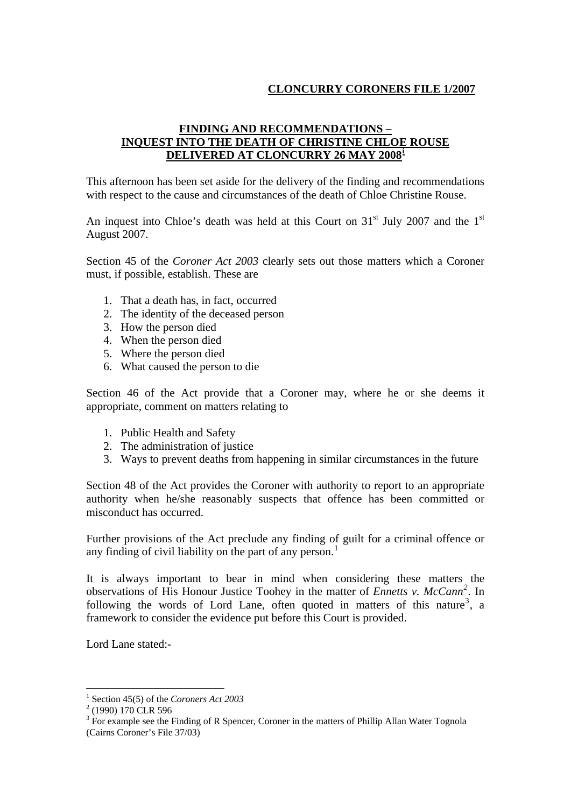# **CLONCURRY CORONERS FILE 1/2007**

# **FINDING AND RECOMMENDATIONS – INQUEST INTO THE DEATH OF CHRISTINE CHLOE ROUSE DELIVERED AT CLONCURRY 26 MAY 2008[i](#page-11-0)**

This afternoon has been set aside for the delivery of the finding and recommendations with respect to the cause and circumstances of the death of Chloe Christine Rouse.

An inquest into Chloe's death was held at this Court on  $31<sup>st</sup>$  July 2007 and the  $1<sup>st</sup>$ August 2007.

Section 45 of the *Coroner Act 2003* clearly sets out those matters which a Coroner must, if possible, establish. These are

- 1. That a death has, in fact, occurred
- 2. The identity of the deceased person
- 3. How the person died
- 4. When the person died
- 5. Where the person died
- 6. What caused the person to die

Section 46 of the Act provide that a Coroner may, where he or she deems it appropriate, comment on matters relating to

- 1. Public Health and Safety
- 2. The administration of justice
- 3. Ways to prevent deaths from happening in similar circumstances in the future

Section 48 of the Act provides the Coroner with authority to report to an appropriate authority when he/she reasonably suspects that offence has been committed or misconduct has occurred.

Further provisions of the Act preclude any finding of guilt for a criminal offence or any finding of civil liability on the part of any person.<sup>[1](#page-0-0)</sup>

It is always important to bear in mind when considering these matters the observations of His Honour Justice Toohey in the matter of *Ennetts v. McCann[2](#page-0-1) .* In following the words of Lord Lane, often quoted in matters of this nature<sup>[3](#page-0-2)</sup>, a framework to consider the evidence put before this Court is provided.

Lord Lane stated:-

<sup>&</sup>lt;sup>1</sup> Section 45(5) of the *Coroners Act 2003*<br><sup>2</sup> (1000) 170 CLB 506

<span id="page-0-1"></span><span id="page-0-0"></span> $^{2}$  (1990) 170 CLR 596

<span id="page-0-2"></span> $3$  For example see the Finding of R Spencer, Coroner in the matters of Phillip Allan Water Tognola

<sup>(</sup>Cairns Coroner's File 37/03)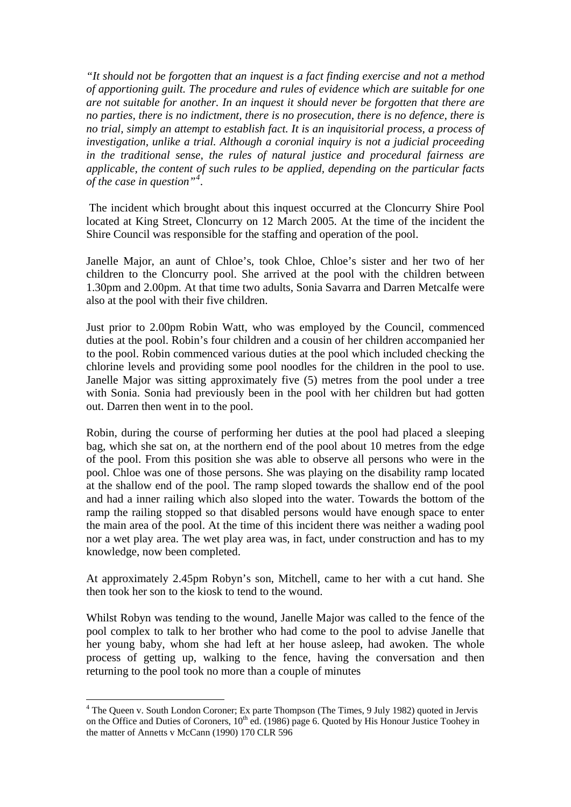*"It should not be forgotten that an inquest is a fact finding exercise and not a method of apportioning guilt. The procedure and rules of evidence which are suitable for one are not suitable for another. In an inquest it should never be forgotten that there are no parties, there is no indictment, there is no prosecution, there is no defence, there is no trial, simply an attempt to establish fact. It is an inquisitorial process, a process of investigation, unlike a trial. Although a coronial inquiry is not a judicial proceeding in the traditional sense, the rules of natural justice and procedural fairness are applicable, the content of such rules to be applied, depending on the particular facts of the case in question"[4](#page-1-0) .* 

 The incident which brought about this inquest occurred at the Cloncurry Shire Pool located at King Street, Cloncurry on 12 March 2005. At the time of the incident the Shire Council was responsible for the staffing and operation of the pool.

Janelle Major, an aunt of Chloe's, took Chloe, Chloe's sister and her two of her children to the Cloncurry pool. She arrived at the pool with the children between 1.30pm and 2.00pm. At that time two adults, Sonia Savarra and Darren Metcalfe were also at the pool with their five children.

Just prior to 2.00pm Robin Watt, who was employed by the Council, commenced duties at the pool. Robin's four children and a cousin of her children accompanied her to the pool. Robin commenced various duties at the pool which included checking the chlorine levels and providing some pool noodles for the children in the pool to use. Janelle Major was sitting approximately five (5) metres from the pool under a tree with Sonia. Sonia had previously been in the pool with her children but had gotten out. Darren then went in to the pool.

Robin, during the course of performing her duties at the pool had placed a sleeping bag, which she sat on, at the northern end of the pool about 10 metres from the edge of the pool. From this position she was able to observe all persons who were in the pool. Chloe was one of those persons. She was playing on the disability ramp located at the shallow end of the pool. The ramp sloped towards the shallow end of the pool and had a inner railing which also sloped into the water. Towards the bottom of the ramp the railing stopped so that disabled persons would have enough space to enter the main area of the pool. At the time of this incident there was neither a wading pool nor a wet play area. The wet play area was, in fact, under construction and has to my knowledge, now been completed.

At approximately 2.45pm Robyn's son, Mitchell, came to her with a cut hand. She then took her son to the kiosk to tend to the wound.

Whilst Robyn was tending to the wound, Janelle Major was called to the fence of the pool complex to talk to her brother who had come to the pool to advise Janelle that her young baby, whom she had left at her house asleep, had awoken. The whole process of getting up, walking to the fence, having the conversation and then returning to the pool took no more than a couple of minutes

<span id="page-1-0"></span><sup>&</sup>lt;sup>4</sup> The Queen v. South London Coroner; Ex parte Thompson (The Times, 9 July 1982) quoted in Jervis on the Office and Duties of Coroners, 10<sup>th</sup> ed. (1986) page 6. Quoted by His Honour Justice Toohey in the matter of Annetts v McCann (1990) 170 CLR 596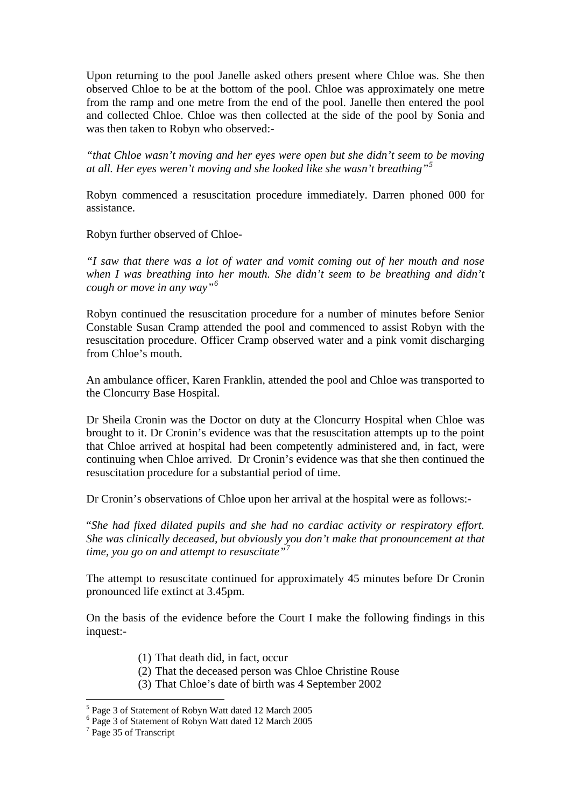Upon returning to the pool Janelle asked others present where Chloe was. She then observed Chloe to be at the bottom of the pool. Chloe was approximately one metre from the ramp and one metre from the end of the pool. Janelle then entered the pool and collected Chloe. Chloe was then collected at the side of the pool by Sonia and was then taken to Robyn who observed:-

*"that Chloe wasn't moving and her eyes were open but she didn't seem to be moving at all. Her eyes weren't moving and she looked like she wasn't breathing"[5](#page-2-0)* 

Robyn commenced a resuscitation procedure immediately. Darren phoned 000 for assistance.

Robyn further observed of Chloe-

*"I saw that there was a lot of water and vomit coming out of her mouth and nose when I was breathing into her mouth. She didn't seem to be breathing and didn't cough or move in any way"[6](#page-2-1)*

Robyn continued the resuscitation procedure for a number of minutes before Senior Constable Susan Cramp attended the pool and commenced to assist Robyn with the resuscitation procedure. Officer Cramp observed water and a pink vomit discharging from Chloe's mouth.

An ambulance officer, Karen Franklin, attended the pool and Chloe was transported to the Cloncurry Base Hospital.

Dr Sheila Cronin was the Doctor on duty at the Cloncurry Hospital when Chloe was brought to it. Dr Cronin's evidence was that the resuscitation attempts up to the point that Chloe arrived at hospital had been competently administered and, in fact, were continuing when Chloe arrived. Dr Cronin's evidence was that she then continued the resuscitation procedure for a substantial period of time.

Dr Cronin's observations of Chloe upon her arrival at the hospital were as follows:-

"*She had fixed dilated pupils and she had no cardiac activity or respiratory effort. She was clinically deceased, but obviously you don't make that pronouncement at that time, you go on and attempt to resuscitate"[7](#page-2-2)*

The attempt to resuscitate continued for approximately 45 minutes before Dr Cronin pronounced life extinct at 3.45pm.

On the basis of the evidence before the Court I make the following findings in this inquest:-

- (1) That death did, in fact, occur
- (2) That the deceased person was Chloe Christine Rouse
- (3) That Chloe's date of birth was 4 September 2002

<span id="page-2-0"></span><sup>5</sup> Page 3 of Statement of Robyn Watt dated 12 March 2005

<span id="page-2-1"></span><sup>6</sup> Page 3 of Statement of Robyn Watt dated 12 March 2005

<span id="page-2-2"></span><sup>&</sup>lt;sup>7</sup> Page 35 of Transcript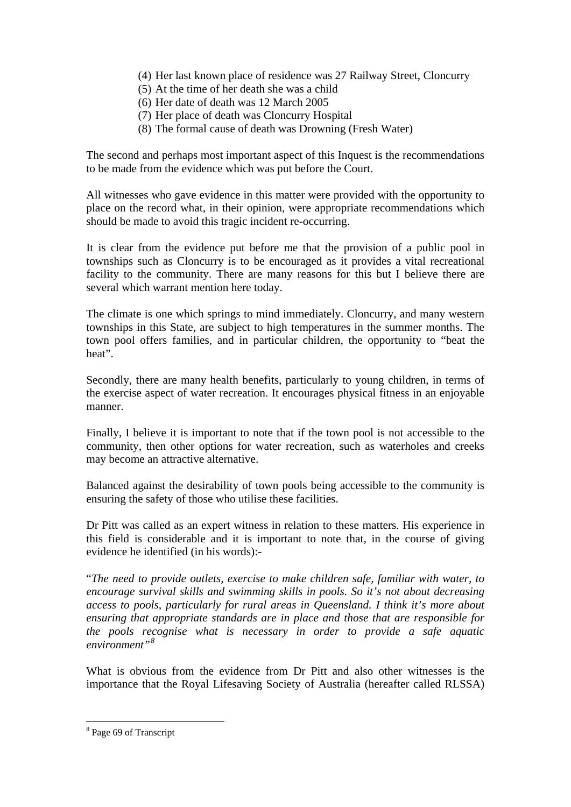- (4) Her last known place of residence was 27 Railway Street, Cloncurry
- (5) At the time of her death she was a child
- (6) Her date of death was 12 March 2005
- (7) Her place of death was Cloncurry Hospital
- (8) The formal cause of death was Drowning (Fresh Water)

The second and perhaps most important aspect of this Inquest is the recommendations to be made from the evidence which was put before the Court.

All witnesses who gave evidence in this matter were provided with the opportunity to place on the record what, in their opinion, were appropriate recommendations which should be made to avoid this tragic incident re-occurring.

It is clear from the evidence put before me that the provision of a public pool in townships such as Cloncurry is to be encouraged as it provides a vital recreational facility to the community. There are many reasons for this but I believe there are several which warrant mention here today.

The climate is one which springs to mind immediately. Cloncurry, and many western townships in this State, are subject to high temperatures in the summer months. The town pool offers families, and in particular children, the opportunity to "beat the heat".

Secondly, there are many health benefits, particularly to young children, in terms of the exercise aspect of water recreation. It encourages physical fitness in an enjoyable manner.

Finally, I believe it is important to note that if the town pool is not accessible to the community, then other options for water recreation, such as waterholes and creeks may become an attractive alternative.

Balanced against the desirability of town pools being accessible to the community is ensuring the safety of those who utilise these facilities.

Dr Pitt was called as an expert witness in relation to these matters. His experience in this field is considerable and it is important to note that, in the course of giving evidence he identified (in his words):-

"*The need to provide outlets, exercise to make children safe, familiar with water, to encourage survival skills and swimming skills in pools. So it's not about decreasing access to pools, particularly for rural areas in Queensland. I think it's more about ensuring that appropriate standards are in place and those that are responsible for the pools recognise what is necessary in order to provide a safe aquatic environment"[8](#page-3-0)*

What is obvious from the evidence from Dr Pitt and also other witnesses is the importance that the Royal Lifesaving Society of Australia (hereafter called RLSSA)

<span id="page-3-0"></span><sup>&</sup>lt;sup>8</sup> Page 69 of Transcript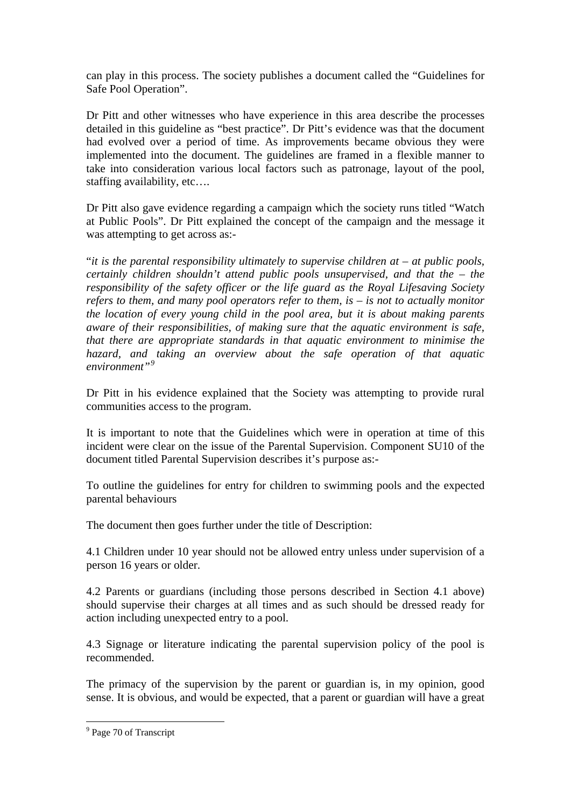can play in this process. The society publishes a document called the "Guidelines for Safe Pool Operation".

Dr Pitt and other witnesses who have experience in this area describe the processes detailed in this guideline as "best practice". Dr Pitt's evidence was that the document had evolved over a period of time. As improvements became obvious they were implemented into the document. The guidelines are framed in a flexible manner to take into consideration various local factors such as patronage, layout of the pool, staffing availability, etc….

Dr Pitt also gave evidence regarding a campaign which the society runs titled "Watch at Public Pools". Dr Pitt explained the concept of the campaign and the message it was attempting to get across as:-

"*it is the parental responsibility ultimately to supervise children at – at public pools, certainly children shouldn't attend public pools unsupervised, and that the – the responsibility of the safety officer or the life guard as the Royal Lifesaving Society refers to them, and many pool operators refer to them, is – is not to actually monitor the location of every young child in the pool area, but it is about making parents aware of their responsibilities, of making sure that the aquatic environment is safe, that there are appropriate standards in that aquatic environment to minimise the hazard, and taking an overview about the safe operation of that aquatic environment"[9](#page-4-0)*

Dr Pitt in his evidence explained that the Society was attempting to provide rural communities access to the program.

It is important to note that the Guidelines which were in operation at time of this incident were clear on the issue of the Parental Supervision. Component SU10 of the document titled Parental Supervision describes it's purpose as:-

To outline the guidelines for entry for children to swimming pools and the expected parental behaviours

The document then goes further under the title of Description:

4.1 Children under 10 year should not be allowed entry unless under supervision of a person 16 years or older.

4.2 Parents or guardians (including those persons described in Section 4.1 above) should supervise their charges at all times and as such should be dressed ready for action including unexpected entry to a pool.

4.3 Signage or literature indicating the parental supervision policy of the pool is recommended.

The primacy of the supervision by the parent or guardian is, in my opinion, good sense. It is obvious, and would be expected, that a parent or guardian will have a great

<span id="page-4-0"></span><sup>&</sup>lt;sup>9</sup> Page 70 of Transcript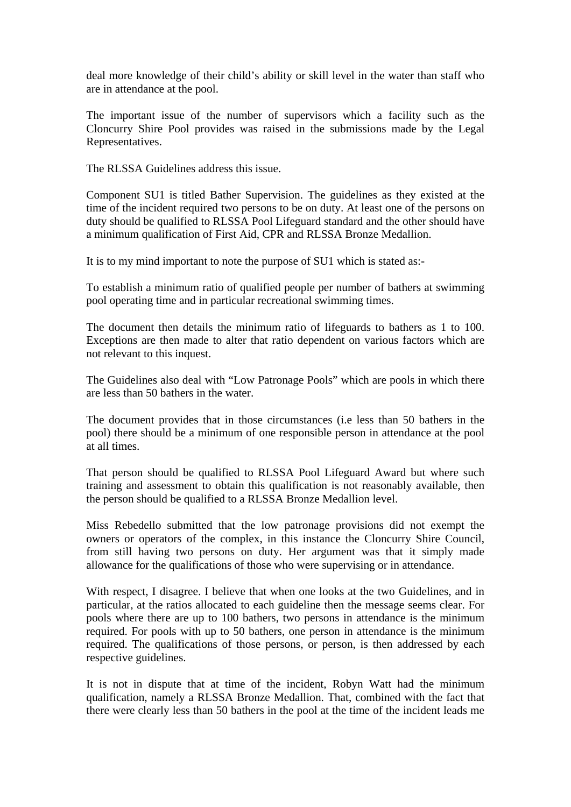deal more knowledge of their child's ability or skill level in the water than staff who are in attendance at the pool.

The important issue of the number of supervisors which a facility such as the Cloncurry Shire Pool provides was raised in the submissions made by the Legal Representatives.

The RLSSA Guidelines address this issue.

Component SU1 is titled Bather Supervision. The guidelines as they existed at the time of the incident required two persons to be on duty. At least one of the persons on duty should be qualified to RLSSA Pool Lifeguard standard and the other should have a minimum qualification of First Aid, CPR and RLSSA Bronze Medallion.

It is to my mind important to note the purpose of SU1 which is stated as:-

To establish a minimum ratio of qualified people per number of bathers at swimming pool operating time and in particular recreational swimming times.

The document then details the minimum ratio of lifeguards to bathers as 1 to 100. Exceptions are then made to alter that ratio dependent on various factors which are not relevant to this inquest.

The Guidelines also deal with "Low Patronage Pools" which are pools in which there are less than 50 bathers in the water.

The document provides that in those circumstances (i.e less than 50 bathers in the pool) there should be a minimum of one responsible person in attendance at the pool at all times.

That person should be qualified to RLSSA Pool Lifeguard Award but where such training and assessment to obtain this qualification is not reasonably available, then the person should be qualified to a RLSSA Bronze Medallion level.

Miss Rebedello submitted that the low patronage provisions did not exempt the owners or operators of the complex, in this instance the Cloncurry Shire Council, from still having two persons on duty. Her argument was that it simply made allowance for the qualifications of those who were supervising or in attendance.

With respect, I disagree. I believe that when one looks at the two Guidelines, and in particular, at the ratios allocated to each guideline then the message seems clear. For pools where there are up to 100 bathers, two persons in attendance is the minimum required. For pools with up to 50 bathers, one person in attendance is the minimum required. The qualifications of those persons, or person, is then addressed by each respective guidelines.

It is not in dispute that at time of the incident, Robyn Watt had the minimum qualification, namely a RLSSA Bronze Medallion. That, combined with the fact that there were clearly less than 50 bathers in the pool at the time of the incident leads me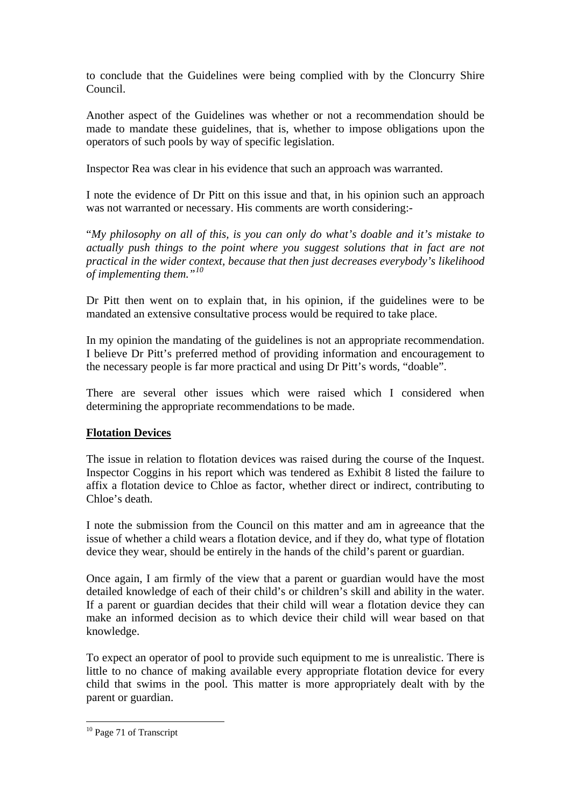to conclude that the Guidelines were being complied with by the Cloncurry Shire Council.

Another aspect of the Guidelines was whether or not a recommendation should be made to mandate these guidelines, that is, whether to impose obligations upon the operators of such pools by way of specific legislation.

Inspector Rea was clear in his evidence that such an approach was warranted.

I note the evidence of Dr Pitt on this issue and that, in his opinion such an approach was not warranted or necessary. His comments are worth considering:-

"*My philosophy on all of this, is you can only do what's doable and it's mistake to actually push things to the point where you suggest solutions that in fact are not practical in the wider context, because that then just decreases everybody's likelihood of implementing them."[10](#page-6-0)*

Dr Pitt then went on to explain that, in his opinion, if the guidelines were to be mandated an extensive consultative process would be required to take place.

In my opinion the mandating of the guidelines is not an appropriate recommendation. I believe Dr Pitt's preferred method of providing information and encouragement to the necessary people is far more practical and using Dr Pitt's words, "doable".

There are several other issues which were raised which I considered when determining the appropriate recommendations to be made.

# **Flotation Devices**

The issue in relation to flotation devices was raised during the course of the Inquest. Inspector Coggins in his report which was tendered as Exhibit 8 listed the failure to affix a flotation device to Chloe as factor, whether direct or indirect, contributing to Chloe's death.

I note the submission from the Council on this matter and am in agreeance that the issue of whether a child wears a flotation device, and if they do, what type of flotation device they wear, should be entirely in the hands of the child's parent or guardian.

Once again, I am firmly of the view that a parent or guardian would have the most detailed knowledge of each of their child's or children's skill and ability in the water. If a parent or guardian decides that their child will wear a flotation device they can make an informed decision as to which device their child will wear based on that knowledge.

To expect an operator of pool to provide such equipment to me is unrealistic. There is little to no chance of making available every appropriate flotation device for every child that swims in the pool. This matter is more appropriately dealt with by the parent or guardian.

<span id="page-6-0"></span><sup>&</sup>lt;sup>10</sup> Page 71 of Transcript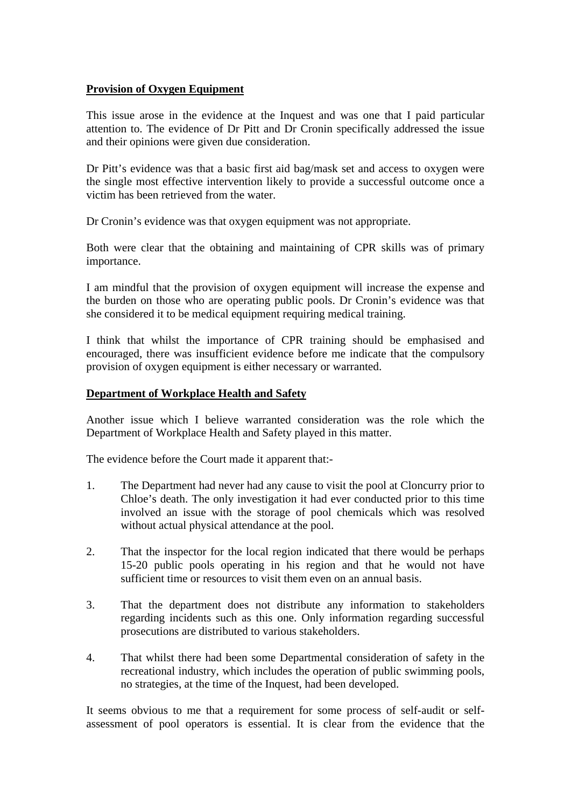## **Provision of Oxygen Equipment**

This issue arose in the evidence at the Inquest and was one that I paid particular attention to. The evidence of Dr Pitt and Dr Cronin specifically addressed the issue and their opinions were given due consideration.

Dr Pitt's evidence was that a basic first aid bag/mask set and access to oxygen were the single most effective intervention likely to provide a successful outcome once a victim has been retrieved from the water.

Dr Cronin's evidence was that oxygen equipment was not appropriate.

Both were clear that the obtaining and maintaining of CPR skills was of primary importance.

I am mindful that the provision of oxygen equipment will increase the expense and the burden on those who are operating public pools. Dr Cronin's evidence was that she considered it to be medical equipment requiring medical training.

I think that whilst the importance of CPR training should be emphasised and encouraged, there was insufficient evidence before me indicate that the compulsory provision of oxygen equipment is either necessary or warranted.

### **Department of Workplace Health and Safety**

Another issue which I believe warranted consideration was the role which the Department of Workplace Health and Safety played in this matter.

The evidence before the Court made it apparent that:-

- 1. The Department had never had any cause to visit the pool at Cloncurry prior to Chloe's death. The only investigation it had ever conducted prior to this time involved an issue with the storage of pool chemicals which was resolved without actual physical attendance at the pool.
- 2. That the inspector for the local region indicated that there would be perhaps 15-20 public pools operating in his region and that he would not have sufficient time or resources to visit them even on an annual basis.
- 3. That the department does not distribute any information to stakeholders regarding incidents such as this one. Only information regarding successful prosecutions are distributed to various stakeholders.
- 4. That whilst there had been some Departmental consideration of safety in the recreational industry, which includes the operation of public swimming pools, no strategies, at the time of the Inquest, had been developed.

It seems obvious to me that a requirement for some process of self-audit or selfassessment of pool operators is essential. It is clear from the evidence that the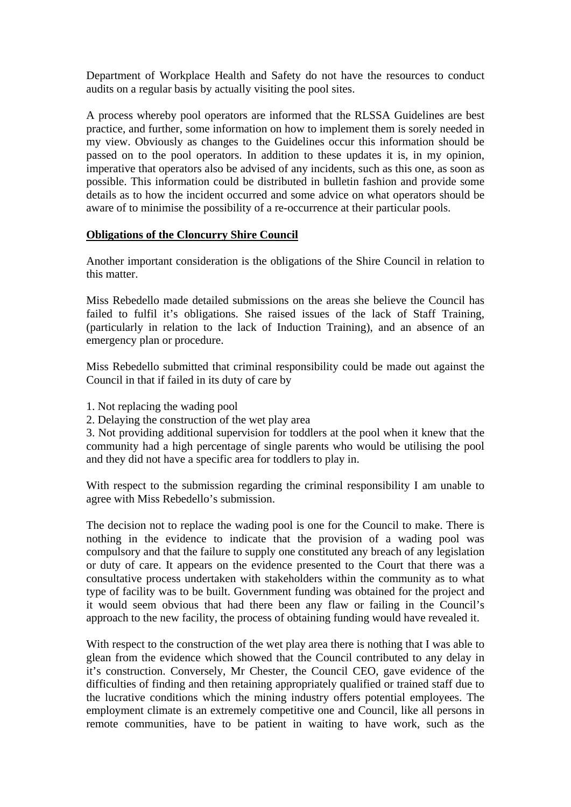Department of Workplace Health and Safety do not have the resources to conduct audits on a regular basis by actually visiting the pool sites.

A process whereby pool operators are informed that the RLSSA Guidelines are best practice, and further, some information on how to implement them is sorely needed in my view. Obviously as changes to the Guidelines occur this information should be passed on to the pool operators. In addition to these updates it is, in my opinion, imperative that operators also be advised of any incidents, such as this one, as soon as possible. This information could be distributed in bulletin fashion and provide some details as to how the incident occurred and some advice on what operators should be aware of to minimise the possibility of a re-occurrence at their particular pools.

## **Obligations of the Cloncurry Shire Council**

Another important consideration is the obligations of the Shire Council in relation to this matter.

Miss Rebedello made detailed submissions on the areas she believe the Council has failed to fulfil it's obligations. She raised issues of the lack of Staff Training, (particularly in relation to the lack of Induction Training), and an absence of an emergency plan or procedure.

Miss Rebedello submitted that criminal responsibility could be made out against the Council in that if failed in its duty of care by

- 1. Not replacing the wading pool
- 2. Delaying the construction of the wet play area

3. Not providing additional supervision for toddlers at the pool when it knew that the community had a high percentage of single parents who would be utilising the pool and they did not have a specific area for toddlers to play in.

With respect to the submission regarding the criminal responsibility I am unable to agree with Miss Rebedello's submission.

The decision not to replace the wading pool is one for the Council to make. There is nothing in the evidence to indicate that the provision of a wading pool was compulsory and that the failure to supply one constituted any breach of any legislation or duty of care. It appears on the evidence presented to the Court that there was a consultative process undertaken with stakeholders within the community as to what type of facility was to be built. Government funding was obtained for the project and it would seem obvious that had there been any flaw or failing in the Council's approach to the new facility, the process of obtaining funding would have revealed it.

With respect to the construction of the wet play area there is nothing that I was able to glean from the evidence which showed that the Council contributed to any delay in it's construction. Conversely, Mr Chester, the Council CEO, gave evidence of the difficulties of finding and then retaining appropriately qualified or trained staff due to the lucrative conditions which the mining industry offers potential employees. The employment climate is an extremely competitive one and Council, like all persons in remote communities, have to be patient in waiting to have work, such as the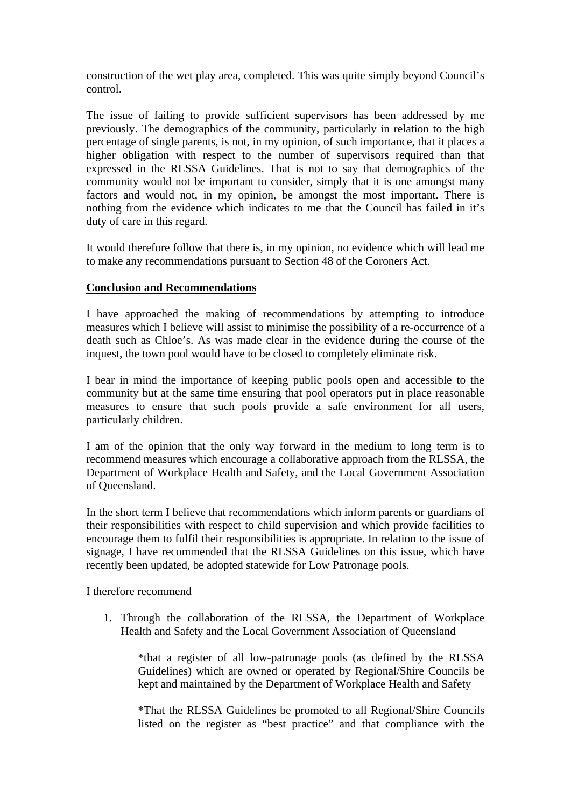construction of the wet play area, completed. This was quite simply beyond Council's control.

The issue of failing to provide sufficient supervisors has been addressed by me previously. The demographics of the community, particularly in relation to the high percentage of single parents, is not, in my opinion, of such importance, that it places a higher obligation with respect to the number of supervisors required than that expressed in the RLSSA Guidelines. That is not to say that demographics of the community would not be important to consider, simply that it is one amongst many factors and would not, in my opinion, be amongst the most important. There is nothing from the evidence which indicates to me that the Council has failed in it's duty of care in this regard.

It would therefore follow that there is, in my opinion, no evidence which will lead me to make any recommendations pursuant to Section 48 of the Coroners Act.

## **Conclusion and Recommendations**

I have approached the making of recommendations by attempting to introduce measures which I believe will assist to minimise the possibility of a re-occurrence of a death such as Chloe's. As was made clear in the evidence during the course of the inquest, the town pool would have to be closed to completely eliminate risk.

I bear in mind the importance of keeping public pools open and accessible to the community but at the same time ensuring that pool operators put in place reasonable measures to ensure that such pools provide a safe environment for all users, particularly children.

I am of the opinion that the only way forward in the medium to long term is to recommend measures which encourage a collaborative approach from the RLSSA, the Department of Workplace Health and Safety, and the Local Government Association of Queensland.

In the short term I believe that recommendations which inform parents or guardians of their responsibilities with respect to child supervision and which provide facilities to encourage them to fulfil their responsibilities is appropriate. In relation to the issue of signage, I have recommended that the RLSSA Guidelines on this issue, which have recently been updated, be adopted statewide for Low Patronage pools.

I therefore recommend

1. Through the collaboration of the RLSSA, the Department of Workplace Health and Safety and the Local Government Association of Queensland

\*that a register of all low-patronage pools (as defined by the RLSSA Guidelines) which are owned or operated by Regional/Shire Councils be kept and maintained by the Department of Workplace Health and Safety

\*That the RLSSA Guidelines be promoted to all Regional/Shire Councils listed on the register as "best practice" and that compliance with the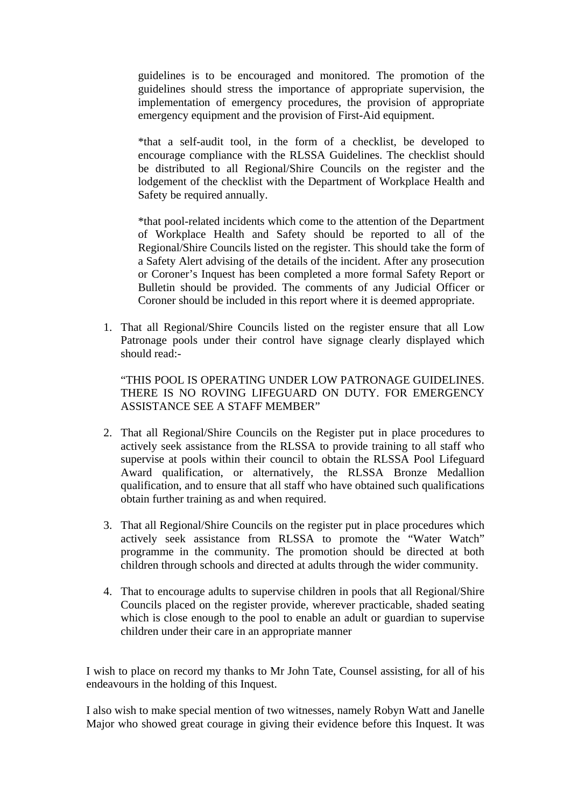guidelines is to be encouraged and monitored. The promotion of the guidelines should stress the importance of appropriate supervision, the implementation of emergency procedures, the provision of appropriate emergency equipment and the provision of First-Aid equipment.

\*that a self-audit tool, in the form of a checklist, be developed to encourage compliance with the RLSSA Guidelines. The checklist should be distributed to all Regional/Shire Councils on the register and the lodgement of the checklist with the Department of Workplace Health and Safety be required annually.

\*that pool-related incidents which come to the attention of the Department of Workplace Health and Safety should be reported to all of the Regional/Shire Councils listed on the register. This should take the form of a Safety Alert advising of the details of the incident. After any prosecution or Coroner's Inquest has been completed a more formal Safety Report or Bulletin should be provided. The comments of any Judicial Officer or Coroner should be included in this report where it is deemed appropriate.

1. That all Regional/Shire Councils listed on the register ensure that all Low Patronage pools under their control have signage clearly displayed which should read:-

"THIS POOL IS OPERATING UNDER LOW PATRONAGE GUIDELINES. THERE IS NO ROVING LIFEGUARD ON DUTY. FOR EMERGENCY ASSISTANCE SEE A STAFF MEMBER"

- 2. That all Regional/Shire Councils on the Register put in place procedures to actively seek assistance from the RLSSA to provide training to all staff who supervise at pools within their council to obtain the RLSSA Pool Lifeguard Award qualification, or alternatively, the RLSSA Bronze Medallion qualification, and to ensure that all staff who have obtained such qualifications obtain further training as and when required.
- 3. That all Regional/Shire Councils on the register put in place procedures which actively seek assistance from RLSSA to promote the "Water Watch" programme in the community. The promotion should be directed at both children through schools and directed at adults through the wider community.
- 4. That to encourage adults to supervise children in pools that all Regional/Shire Councils placed on the register provide, wherever practicable, shaded seating which is close enough to the pool to enable an adult or guardian to supervise children under their care in an appropriate manner

I wish to place on record my thanks to Mr John Tate, Counsel assisting, for all of his endeavours in the holding of this Inquest.

I also wish to make special mention of two witnesses, namely Robyn Watt and Janelle Major who showed great courage in giving their evidence before this Inquest. It was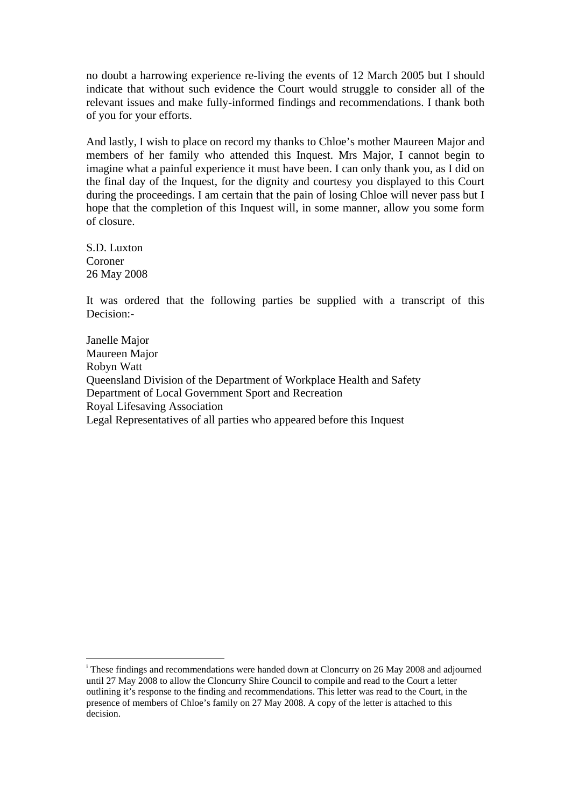no doubt a harrowing experience re-living the events of 12 March 2005 but I should indicate that without such evidence the Court would struggle to consider all of the relevant issues and make fully-informed findings and recommendations. I thank both of you for your efforts.

And lastly, I wish to place on record my thanks to Chloe's mother Maureen Major and members of her family who attended this Inquest. Mrs Major, I cannot begin to imagine what a painful experience it must have been. I can only thank you, as I did on the final day of the Inquest, for the dignity and courtesy you displayed to this Court during the proceedings. I am certain that the pain of losing Chloe will never pass but I hope that the completion of this Inquest will, in some manner, allow you some form of closure.

S.D. Luxton Coroner 26 May 2008

1

It was ordered that the following parties be supplied with a transcript of this Decision:-

Janelle Major Maureen Major Robyn Watt Queensland Division of the Department of Workplace Health and Safety Department of Local Government Sport and Recreation Royal Lifesaving Association Legal Representatives of all parties who appeared before this Inquest

<span id="page-11-0"></span><sup>&</sup>lt;sup>i</sup> These findings and recommendations were handed down at Cloncurry on 26 May 2008 and adjourned until 27 May 2008 to allow the Cloncurry Shire Council to compile and read to the Court a letter outlining it's response to the finding and recommendations. This letter was read to the Court, in the presence of members of Chloe's family on 27 May 2008. A copy of the letter is attached to this decision.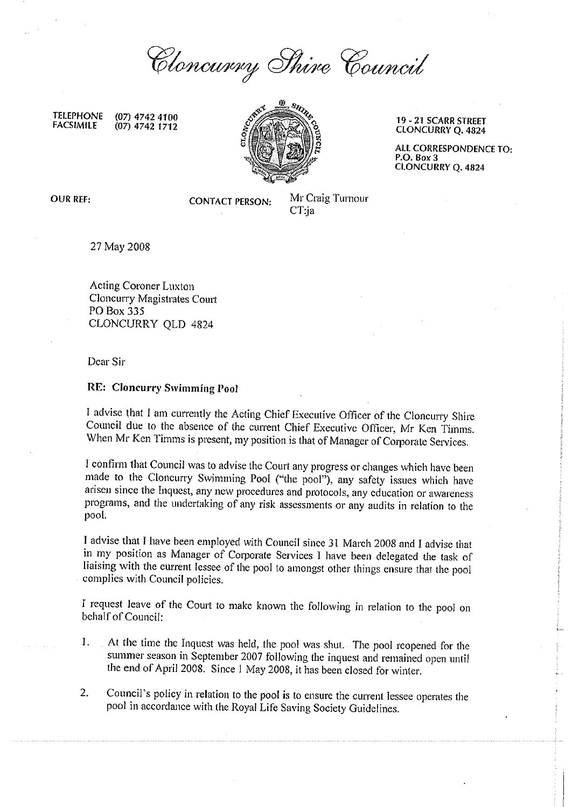Cloncurry Shire Council

**TELEPHONE** (07) 4742 4100 **FACSIMILE**  $(07)$  4742 1712



19 - 21 SCARR STREET **CLONCURRY Q. 4824** 

ALL CORRESPONDENCE TO: P.O. Box 3 **CLONCURRY Q. 4824** 

**OUR REF:** 

**CONTACT PERSON:** 

Mr Craig Turnour  $CT$ :ja

27 May 2008

Acting Coroner Luxton Cloncurry Magistrates Court PO Box 335 CLONCURRY OLD 4824

Dear Sir

#### **RE: Cloncurry Swimming Pool**

I advise that I am currently the Acting Chief Executive Officer of the Cloncurry Shire Council due to the absence of the current Chief Executive Officer, Mr Ken Timms. When Mr Ken Timms is present, my position is that of Manager of Corporate Services.

I confirm that Council was to advise the Court any progress or changes which have been made to the Cloncurry Swimming Pool ("the pool"), any safety issues which have arisen since the Inquest, any new procedures and protocols, any education or awareness programs, and the undertaking of any risk assessments or any audits in relation to the pool.

I advise that I have been employed with Council since 31 March 2008 and I advise that in my position as Manager of Corporate Services I have been delegated the task of liaising with the current lessee of the pool to amongst other things ensure that the pool complies with Council policies.

I request leave of the Court to make known the following in relation to the pool on behalf of Conneil:

- At the time the Inquest was held, the pool was shut. The pool reopened for the 1. summer season in September 2007 following the inquest and remained open until the end of April 2008. Since 1 May 2008, it has been closed for winter.
- $\overline{2}$ . Council's policy in relation to the pool is to ensure the current lessee operates the pool in accordance with the Royal Life Saving Society Guidelines.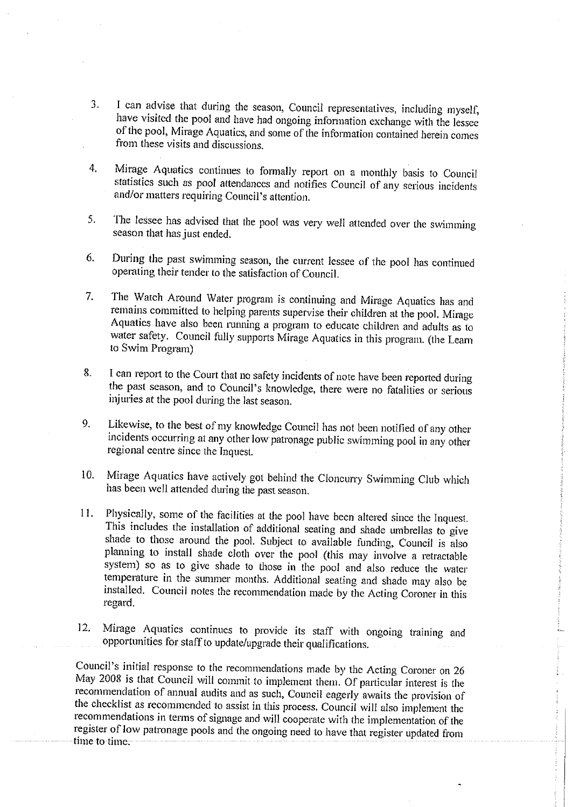- I can advise that during the season, Council representatives, including myself,  $3.$ have visited the pool and have had ongoing information exchange with the lessee of the pool, Mirage Aquatics, and some of the information contained herein comes from these visits and discussions.
- Mirage Aquatics continues to formally report on a monthly basis to Council  $4.$ statistics such as pool attendances and notifies Council of any serious incidents and/or matters requiring Council's attention.
- The lessee has advised that the pool was very well attended over the swimming 5. season that has just ended.
- During the past swimming season, the current lessee of the pool has continued 6. operating their tender to the satisfaction of Council.
- The Watch Around Water program is continuing and Mirage Aquatics has and  $7.$ remains committed to helping parents supervise their children at the pool. Mirage Aquatics have also been running a program to educate children and adults as to water safety. Council fully supports Mirage Aquatics in this program. (the Learn to Swim Program)
- I can report to the Court that no safety incidents of note have been reported during 8. the past season, and to Council's knowledge, there were no fatalities or serious injuries at the pool during the last season.
- Likewise, to the best of my knowledge Council has not been notified of any other 9. incidents occurring at any other low patronage public swimming pool in any other regional centre since the Inquest.
- Mirage Aquatics have actively got behind the Cloncurry Swimming Club which  $10.$ has been well attended during the past season.
- Physically, some of the facilities at the pool have been altered since the Inquest. 11. This includes the installation of additional seating and shade umbrellas to give shade to those around the pool. Subject to available funding, Council is also planning to install shade cloth over the pool (this may involve a retractable system) so as to give shade to those in the pool and also reduce the water temperature in the summer months. Additional seating and shade may also be installed. Council notes the recommendation made by the Acting Coroner in this regard.
- Mirage Aquatics continues to provide its staff with ongoing training and  $12.$ opportunities for staff to update/upgrade their qualifications.

Council's initial response to the recommendations made by the Acting Coroner on 26 May 2008 is that Council will commit to implement them. Of particular interest is the recommendation of annual audits and as such, Council eagerly awaits the provision of the checklist as recommended to assist in this process. Council will also implement the recommendations in terms of signage and will cooperate with the implementation of the register of low patronage pools and the ongoing need to have that register updated from time to time.